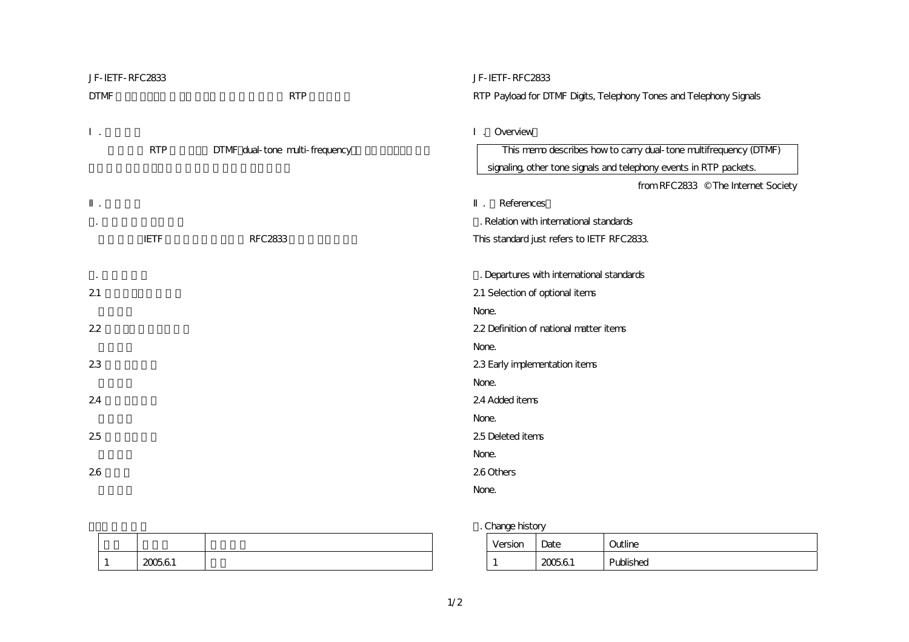| JF-IETF-RFC2833 |             |                                | JF-IETF-RFC2833                                                    |
|-----------------|-------------|--------------------------------|--------------------------------------------------------------------|
| <b>DTMF</b>     |             | <b>RTP</b>                     | RTP Payload for DTMF Digits, Telephony Tones and Telephony Signals |
|                 |             |                                |                                                                    |
|                 |             |                                | Overview                                                           |
|                 | <b>RTP</b>  | DTMF dual-tone multi-frequency | This memo describes how to carry dual-tone multifrequency (DTMF)   |
|                 |             |                                | signaling, other tone signals and telephony events in RTP packets. |
|                 |             |                                | from RFC2833 © The Internet Society                                |
|                 |             |                                | References                                                         |
|                 |             |                                | . Relation with international standards                            |
|                 | <b>IETF</b> | <b>RFC2833</b>                 | This standard just refers to IETF RFC2833.                         |
|                 |             |                                |                                                                    |
|                 |             |                                | . Departures with international standards                          |
| 21              |             |                                | 21 Selection of optional items                                     |
|                 |             |                                | None.                                                              |
| 22              |             |                                | 22 Definition of national matter items                             |
|                 |             |                                | None.                                                              |
| 23              |             |                                | 23 Early implementation items                                      |
|                 |             |                                | None.                                                              |
| 24              |             |                                | 24 Added items                                                     |
|                 |             |                                | None.                                                              |
| 25              |             |                                | 25 Deleted items                                                   |
|                 |             |                                | None.                                                              |
| 26              |             |                                | 260thers                                                           |
|                 |             |                                | None.                                                              |

| 200561<br>----- |  |
|-----------------|--|

## 3. Change history

| Version | Date   | Outline   |
|---------|--------|-----------|
|         | 200561 | Published |